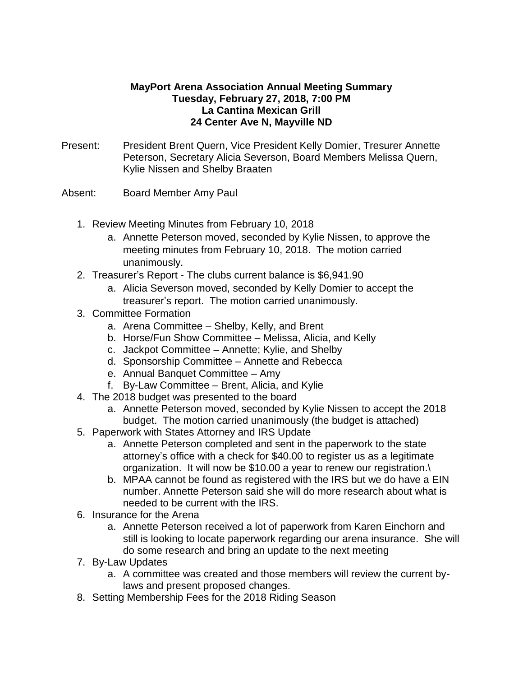## **MayPort Arena Association Annual Meeting Summary Tuesday, February 27, 2018, 7:00 PM La Cantina Mexican Grill 24 Center Ave N, Mayville ND**

- Present: President Brent Quern, Vice President Kelly Domier, Tresurer Annette Peterson, Secretary Alicia Severson, Board Members Melissa Quern, Kylie Nissen and Shelby Braaten
- Absent: Board Member Amy Paul
	- 1. Review Meeting Minutes from February 10, 2018
		- a. Annette Peterson moved, seconded by Kylie Nissen, to approve the meeting minutes from February 10, 2018. The motion carried unanimously.
	- 2. Treasurer's Report The clubs current balance is \$6,941.90
		- a. Alicia Severson moved, seconded by Kelly Domier to accept the treasurer's report. The motion carried unanimously.
	- 3. Committee Formation
		- a. Arena Committee Shelby, Kelly, and Brent
		- b. Horse/Fun Show Committee Melissa, Alicia, and Kelly
		- c. Jackpot Committee Annette; Kylie, and Shelby
		- d. Sponsorship Committee Annette and Rebecca
		- e. Annual Banquet Committee Amy
		- f. By-Law Committee Brent, Alicia, and Kylie
	- 4. The 2018 budget was presented to the board
		- a. Annette Peterson moved, seconded by Kylie Nissen to accept the 2018 budget. The motion carried unanimously (the budget is attached)
	- 5. Paperwork with States Attorney and IRS Update
		- a. Annette Peterson completed and sent in the paperwork to the state attorney's office with a check for \$40.00 to register us as a legitimate organization. It will now be \$10.00 a year to renew our registration.\
		- b. MPAA cannot be found as registered with the IRS but we do have a EIN number. Annette Peterson said she will do more research about what is needed to be current with the IRS.
	- 6. Insurance for the Arena
		- a. Annette Peterson received a lot of paperwork from Karen Einchorn and still is looking to locate paperwork regarding our arena insurance. She will do some research and bring an update to the next meeting
	- 7. By-Law Updates
		- a. A committee was created and those members will review the current bylaws and present proposed changes.
	- 8. Setting Membership Fees for the 2018 Riding Season